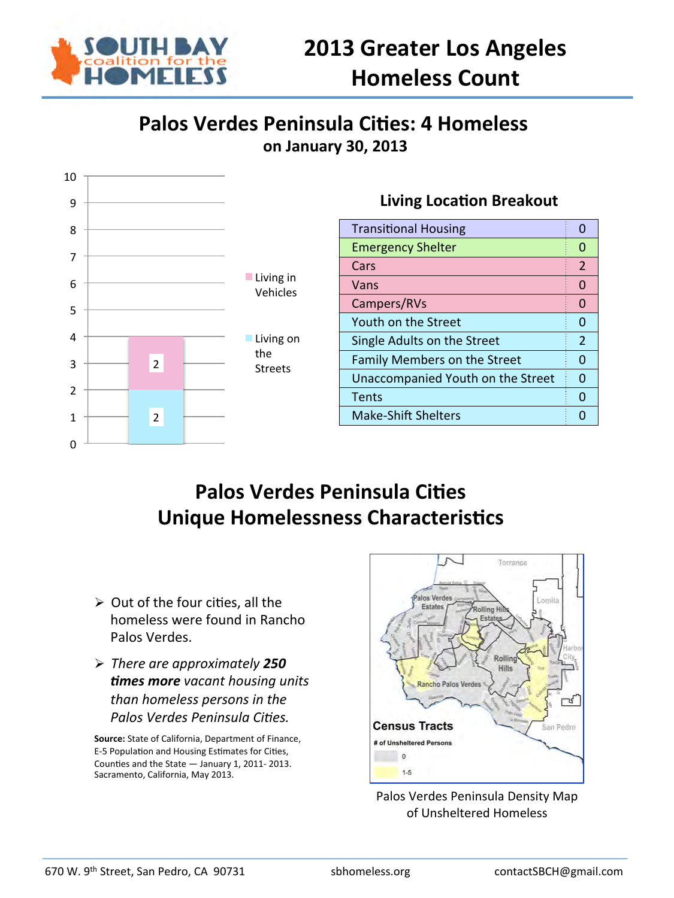

## **Palos Verdes Peninsula Cities: 4 Homeless on January 30, 2013**



## **Palos Verdes Peninsula Cities Unique Homelessness Characteristics**

- $\triangleright$  Out of the four cities, all the homeless were found in Rancho Palos Verdes.
- Ø *There are approximately 250*  **times more** vacant housing units *than homeless persons in the*  **Palos Verdes Peninsula Cities.**

Source: State of California, Department of Finance, E-5 Population and Housing Estimates for Cities, Counties and the State  $-$  January 1, 2011- 2013. Sacramento, California, May 2013.



Palos Verdes Peninsula Density Map of Unsheltered Homeless